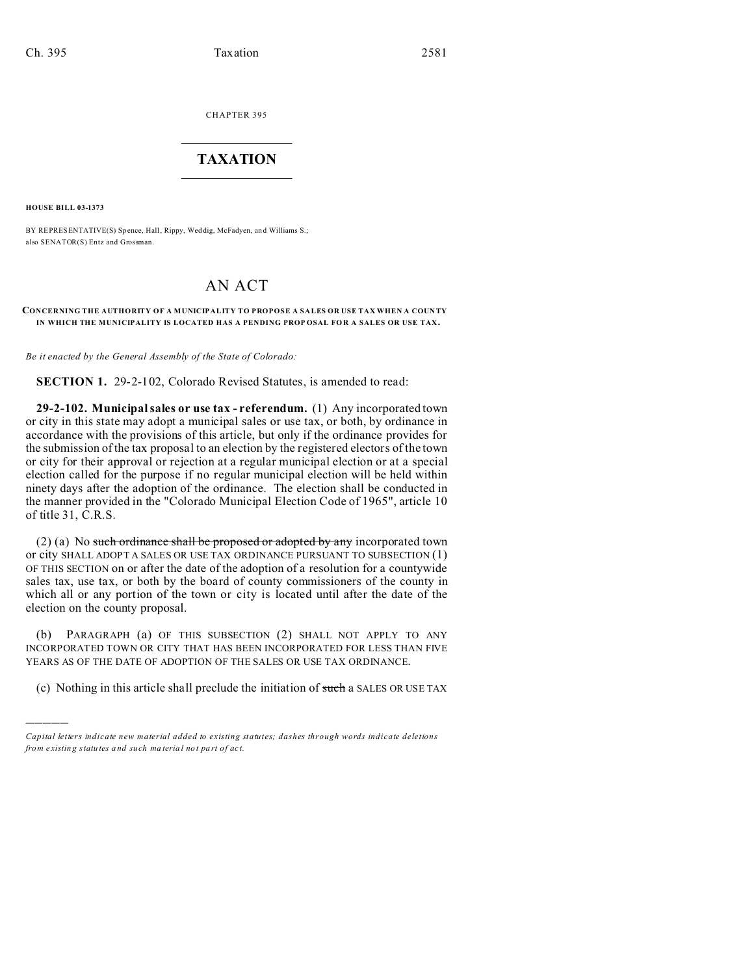CHAPTER 395  $\overline{\phantom{a}}$  , where  $\overline{\phantom{a}}$ 

## **TAXATION**  $\_$

**HOUSE BILL 03-1373**

)))))

BY REPRESENTATIVE(S) Spence, Hall, Rippy, Wed dig, McFadyen, and Williams S.; also SENATOR(S) Entz and Grossman.

## AN ACT

## CONCERNING THE AUTHORITY OF A MUNICIPALITY TO PROPOSE A SALES OR USE TAX WHEN A COUNTY **IN WHICH THE MUNICIPALITY IS LOCATED HAS A PENDING PROP OSAL FO R A SALES OR USE TAX.**

*Be it enacted by the General Assembly of the State of Colorado:*

**SECTION 1.** 29-2-102, Colorado Revised Statutes, is amended to read:

**29-2-102. Municipal sales or use tax - referendum.** (1) Any incorporated town or city in this state may adopt a municipal sales or use tax, or both, by ordinance in accordance with the provisions of this article, but only if the ordinance provides for the submission of the tax proposal to an election by the registered electors of the town or city for their approval or rejection at a regular municipal election or at a special election called for the purpose if no regular municipal election will be held within ninety days after the adoption of the ordinance. The election shall be conducted in the manner provided in the "Colorado Municipal Election Code of 1965", article 10 of title 31, C.R.S.

(2) (a) No such ordinance shall be proposed or adopted by any incorporated town or city SHALL ADOPT A SALES OR USE TAX ORDINANCE PURSUANT TO SUBSECTION (1) OF THIS SECTION on or after the date of the adoption of a resolution for a countywide sales tax, use tax, or both by the board of county commissioners of the county in which all or any portion of the town or city is located until after the date of the election on the county proposal.

(b) PARAGRAPH (a) OF THIS SUBSECTION (2) SHALL NOT APPLY TO ANY INCORPORATED TOWN OR CITY THAT HAS BEEN INCORPORATED FOR LESS THAN FIVE YEARS AS OF THE DATE OF ADOPTION OF THE SALES OR USE TAX ORDINANCE.

(c) Nothing in this article shall preclude the initiation of such a SALES OR USE TAX

*Capital letters indicate new material added to existing statutes; dashes through words indicate deletions from e xistin g statu tes a nd such ma teria l no t pa rt of ac t.*